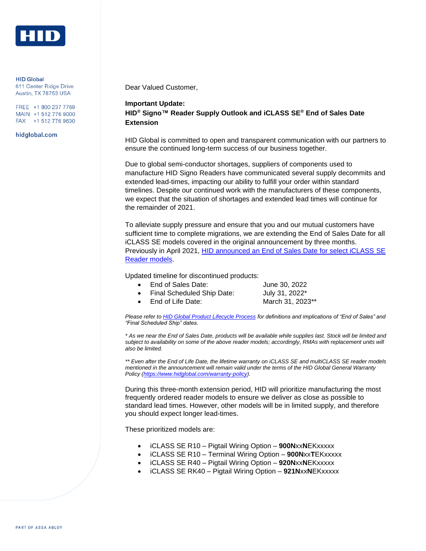

**HID Global** 611 Center Ridge Drive Austin, TX 78753 USA

FREE +1 800 237 7769 MAIN +1 512 776 9000 FAX +1 512 776 9630

hidglobal.com

Dear Valued Customer,

## **Important Update: HID® Signo™ Reader Supply Outlook and iCLASS SE® End of Sales Date Extension**

HID Global is committed to open and transparent communication with our partners to ensure the continued long-term success of our business together.

Due to global semi-conductor shortages, suppliers of components used to manufacture HID Signo Readers have communicated several supply decommits and extended lead-times, impacting our ability to fulfill your order within standard timelines. Despite our continued work with the manufacturers of these components, we expect that the situation of shortages and extended lead times will continue for the remainder of 2021.

To alleviate supply pressure and ensure that you and our mutual customers have sufficient time to complete migrations, we are extending the End of Sales Date for all iCLASS SE models covered in the original announcement by three months. Previously in April 2021, [HID announced an End of Sales Date for select iCLASS](https://www.hidglobal.com/sites/default/files/resource_files/notice-end-of-sale-date-for-select-iclass_se-multiclass_se-readers.pdf) SE [Reader models.](https://www.hidglobal.com/sites/default/files/resource_files/notice-end-of-sale-date-for-select-iclass_se-multiclass_se-readers.pdf)

Updated timeline for discontinued products:

| $\bullet$ | End of Sales Date:           | June 30, 2022    |
|-----------|------------------------------|------------------|
|           | • Final Scheduled Ship Date: | July 31, 2022*   |
| $\bullet$ | End of Life Date:            | March 31, 2023** |

*Please refer t[o HID Global Product Lifecycle Process](https://support.hidglobal.com/product-support-life-cycle/cards-credentials) for definitions and implications of "End of Sales" and "Final Scheduled Ship" dates.* 

*\* As we near the End of Sales Date, products will be available while supplies last. Stock will be limited and subject to availability on some of the above reader models; accordingly, RMAs with replacement units will also be limited.* 

*\*\* Even after the End of Life Date, the lifetime warranty on iCLASS SE and multiCLASS SE reader models mentioned in the announcement will remain valid under the terms of the HID Global General Warranty Policy [\(https://www.hidglobal.com/warranty-policy\)](https://www.hidglobal.com/warranty-policy).*

During this three-month extension period, HID will prioritize manufacturing the most frequently ordered reader models to ensure we deliver as close as possible to standard lead times. However, other models will be in limited supply, and therefore you should expect longer lead-times.

These prioritized models are:

- iCLASS SE R10 Pigtail Wiring Option **900N**xx**N**EKxxxxx
- iCLASS SE R10 Terminal Wiring Option **900N**xx**T**EKxxxxx
- iCLASS SE R40 Pigtail Wiring Option **920N**xx**N**EKxxxxx
- iCLASS SE RK40 Pigtail Wiring Option **921N**xx**N**EKxxxxx